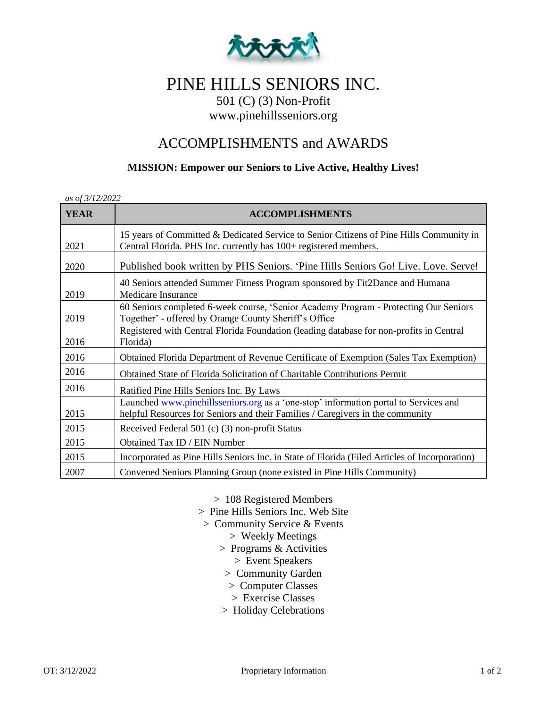

## PINE HILLS SENIORS INC.

501 (C) (3) Non-Profit www.pinehillsseniors.org

## ACCOMPLISHMENTS and AWARDS

## **MISSION: Empower our Seniors to Live Active, Healthy Lives!**

| as of 3/12/2022 |                                                                                                                                                                        |  |  |
|-----------------|------------------------------------------------------------------------------------------------------------------------------------------------------------------------|--|--|
| <b>YEAR</b>     | <b>ACCOMPLISHMENTS</b>                                                                                                                                                 |  |  |
| 2021            | 15 years of Committed & Dedicated Service to Senior Citizens of Pine Hills Community in<br>Central Florida. PHS Inc. currently has 100+ registered members.            |  |  |
| 2020            | Published book written by PHS Seniors. 'Pine Hills Seniors Go! Live. Love. Serve!                                                                                      |  |  |
| 2019            | 40 Seniors attended Summer Fitness Program sponsored by Fit2Dance and Humana<br><b>Medicare Insurance</b>                                                              |  |  |
| 2019            | 60 Seniors completed 6-week course, 'Senior Academy Program - Protecting Our Seniors<br>Together' - offered by Orange County Sheriff's Office                          |  |  |
| 2016            | Registered with Central Florida Foundation (leading database for non-profits in Central<br>Florida)                                                                    |  |  |
| 2016            | Obtained Florida Department of Revenue Certificate of Exemption (Sales Tax Exemption)                                                                                  |  |  |
| 2016            | Obtained State of Florida Solicitation of Charitable Contributions Permit                                                                                              |  |  |
| 2016            | Ratified Pine Hills Seniors Inc. By Laws                                                                                                                               |  |  |
| 2015            | Launched www.pinehillsseniors.org as a 'one-stop' information portal to Services and<br>helpful Resources for Seniors and their Families / Caregivers in the community |  |  |
| 2015            | Received Federal 501 (c) (3) non-profit Status                                                                                                                         |  |  |
| 2015            | Obtained Tax ID / EIN Number                                                                                                                                           |  |  |
| 2015            | Incorporated as Pine Hills Seniors Inc. in State of Florida (Filed Articles of Incorporation)                                                                          |  |  |
| 2007            | Convened Seniors Planning Group (none existed in Pine Hills Community)                                                                                                 |  |  |

> 108 Registered Members

- > Pine Hills Seniors Inc. Web Site
- > Community Service & Events
	- > Weekly Meetings
	- > Programs & Activities
		- > Event Speakers
	- > Community Garden
	- > Computer Classes
	- > Exercise Classes
	- > Holiday Celebrations